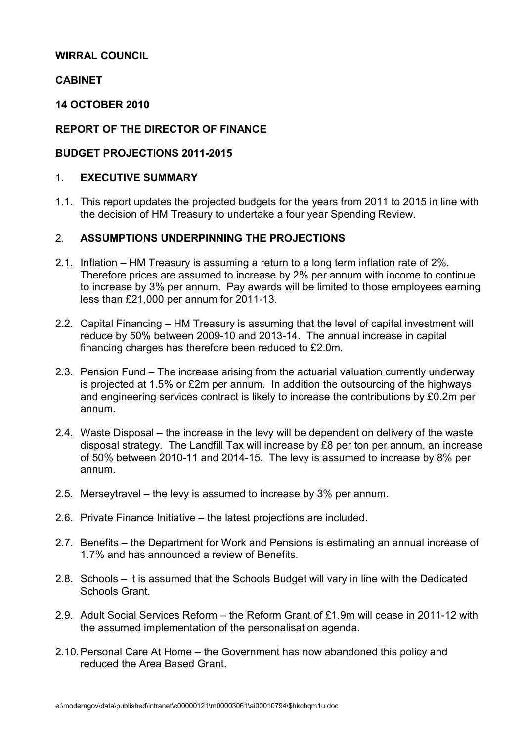## WIRRAL COUNCIL

# **CABINET**

#### 14 OCTOBER 2010

# REPORT OF THE DIRECTOR OF FINANCE

# BUDGET PROJECTIONS 2011-2015

#### 1. EXECUTIVE SUMMARY

1.1. This report updates the projected budgets for the years from 2011 to 2015 in line with the decision of HM Treasury to undertake a four year Spending Review.

# 2. ASSUMPTIONS UNDERPINNING THE PROJECTIONS

- 2.1. Inflation HM Treasury is assuming a return to a long term inflation rate of 2%. Therefore prices are assumed to increase by 2% per annum with income to continue to increase by 3% per annum. Pay awards will be limited to those employees earning less than £21,000 per annum for 2011-13.
- 2.2. Capital Financing HM Treasury is assuming that the level of capital investment will reduce by 50% between 2009-10 and 2013-14. The annual increase in capital financing charges has therefore been reduced to £2.0m.
- 2.3. Pension Fund The increase arising from the actuarial valuation currently underway is projected at 1.5% or £2m per annum. In addition the outsourcing of the highways and engineering services contract is likely to increase the contributions by £0.2m per annum.
- 2.4. Waste Disposal the increase in the levy will be dependent on delivery of the waste disposal strategy. The Landfill Tax will increase by £8 per ton per annum, an increase of 50% between 2010-11 and 2014-15. The levy is assumed to increase by 8% per annum.
- 2.5. Merseytravel the levy is assumed to increase by 3% per annum.
- 2.6. Private Finance Initiative the latest projections are included.
- 2.7. Benefits the Department for Work and Pensions is estimating an annual increase of 1.7% and has announced a review of Benefits.
- 2.8. Schools it is assumed that the Schools Budget will vary in line with the Dedicated Schools Grant.
- 2.9. Adult Social Services Reform the Reform Grant of £1.9m will cease in 2011-12 with the assumed implementation of the personalisation agenda.
- 2.10. Personal Care At Home the Government has now abandoned this policy and reduced the Area Based Grant.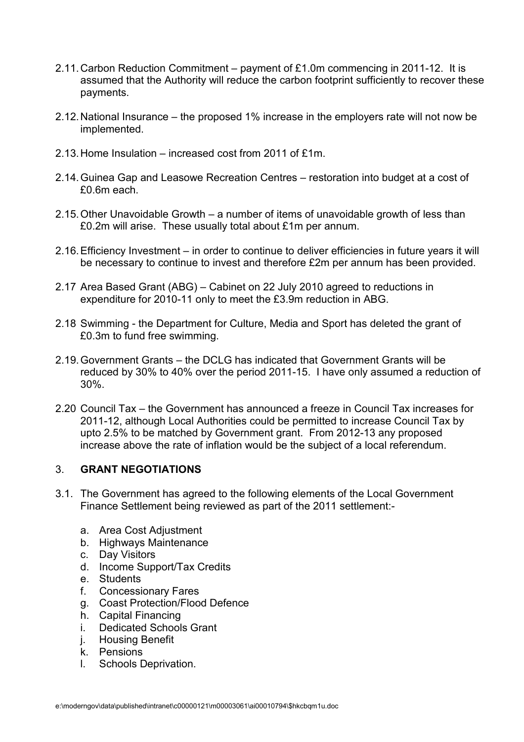- 2.11. Carbon Reduction Commitment payment of £1.0m commencing in 2011-12. It is assumed that the Authority will reduce the carbon footprint sufficiently to recover these payments.
- 2.12. National Insurance the proposed 1% increase in the employers rate will not now be implemented.
- 2.13. Home Insulation increased cost from 2011 of £1m.
- 2.14. Guinea Gap and Leasowe Recreation Centres restoration into budget at a cost of £0.6m each.
- 2.15. Other Unavoidable Growth a number of items of unavoidable growth of less than £0.2m will arise. These usually total about £1m per annum.
- 2.16. Efficiency Investment in order to continue to deliver efficiencies in future years it will be necessary to continue to invest and therefore £2m per annum has been provided.
- 2.17 Area Based Grant (ABG) Cabinet on 22 July 2010 agreed to reductions in expenditure for 2010-11 only to meet the £3.9m reduction in ABG.
- 2.18 Swimming the Department for Culture, Media and Sport has deleted the grant of £0.3m to fund free swimming.
- 2.19. Government Grants the DCLG has indicated that Government Grants will be reduced by 30% to 40% over the period 2011-15. I have only assumed a reduction of 30%.
- 2.20 Council Tax the Government has announced a freeze in Council Tax increases for 2011-12, although Local Authorities could be permitted to increase Council Tax by upto 2.5% to be matched by Government grant. From 2012-13 any proposed increase above the rate of inflation would be the subject of a local referendum.

# 3. GRANT NEGOTIATIONS

- 3.1. The Government has agreed to the following elements of the Local Government Finance Settlement being reviewed as part of the 2011 settlement:
	- a. Area Cost Adjustment
	- b. Highways Maintenance
	- c. Day Visitors
	- d. Income Support/Tax Credits
	- e. Students
	- f. Concessionary Fares
	- g. Coast Protection/Flood Defence
	- h. Capital Financing
	- i. Dedicated Schools Grant
	- j. Housing Benefit
	- k. Pensions
	- l. Schools Deprivation.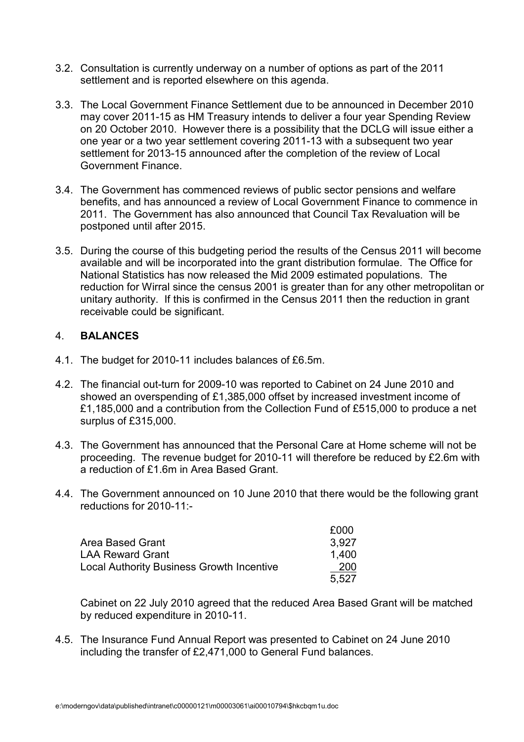- 3.2. Consultation is currently underway on a number of options as part of the 2011 settlement and is reported elsewhere on this agenda.
- 3.3. The Local Government Finance Settlement due to be announced in December 2010 may cover 2011-15 as HM Treasury intends to deliver a four year Spending Review on 20 October 2010. However there is a possibility that the DCLG will issue either a one year or a two year settlement covering 2011-13 with a subsequent two year settlement for 2013-15 announced after the completion of the review of Local Government Finance.
- 3.4. The Government has commenced reviews of public sector pensions and welfare benefits, and has announced a review of Local Government Finance to commence in 2011. The Government has also announced that Council Tax Revaluation will be postponed until after 2015.
- 3.5. During the course of this budgeting period the results of the Census 2011 will become available and will be incorporated into the grant distribution formulae. The Office for National Statistics has now released the Mid 2009 estimated populations. The reduction for Wirral since the census 2001 is greater than for any other metropolitan or unitary authority. If this is confirmed in the Census 2011 then the reduction in grant receivable could be significant.

# 4. BALANCES

- 4.1. The budget for 2010-11 includes balances of £6.5m.
- 4.2. The financial out-turn for 2009-10 was reported to Cabinet on 24 June 2010 and showed an overspending of £1,385,000 offset by increased investment income of £1,185,000 and a contribution from the Collection Fund of £515,000 to produce a net surplus of £315,000.
- 4.3. The Government has announced that the Personal Care at Home scheme will not be proceeding. The revenue budget for 2010-11 will therefore be reduced by £2.6m with a reduction of £1.6m in Area Based Grant.
- 4.4. The Government announced on 10 June 2010 that there would be the following grant reductions for 2010-11:-

|                                                  | £000       |
|--------------------------------------------------|------------|
| Area Based Grant                                 | 3.927      |
| <b>LAA Reward Grant</b>                          | 1.400      |
| <b>Local Authority Business Growth Incentive</b> | <b>200</b> |
|                                                  | 5.527      |

 Cabinet on 22 July 2010 agreed that the reduced Area Based Grant will be matched by reduced expenditure in 2010-11.

4.5. The Insurance Fund Annual Report was presented to Cabinet on 24 June 2010 including the transfer of £2,471,000 to General Fund balances.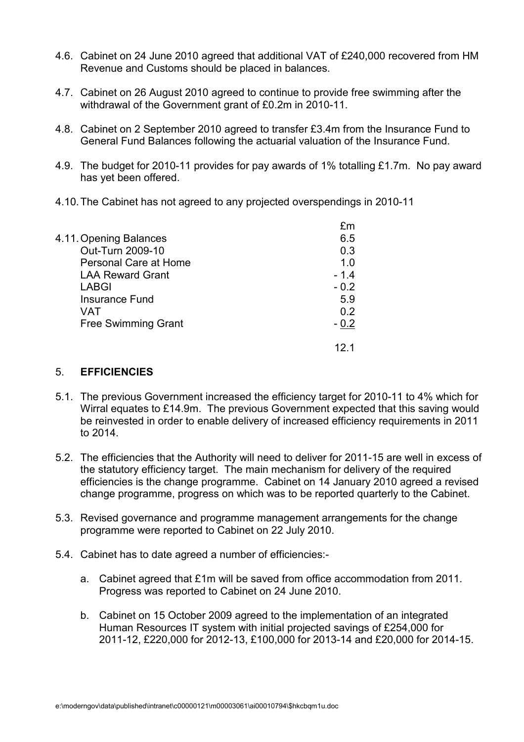- 4.6. Cabinet on 24 June 2010 agreed that additional VAT of £240,000 recovered from HM Revenue and Customs should be placed in balances.
- 4.7. Cabinet on 26 August 2010 agreed to continue to provide free swimming after the withdrawal of the Government grant of £0.2m in 2010-11.
- 4.8. Cabinet on 2 September 2010 agreed to transfer £3.4m from the Insurance Fund to General Fund Balances following the actuarial valuation of the Insurance Fund.
- 4.9. The budget for 2010-11 provides for pay awards of 1% totalling £1.7m. No pay award has yet been offered.
- 4.10. The Cabinet has not agreed to any projected overspendings in 2010-11

|                            | fm     |
|----------------------------|--------|
| 4.11. Opening Balances     | 6.5    |
| Out-Turn 2009-10           | 0.3    |
| Personal Care at Home      | 1.0    |
| <b>LAA Reward Grant</b>    | $-1.4$ |
| <b>LABGI</b>               | $-0.2$ |
| <b>Insurance Fund</b>      | 5.9    |
| VAT                        | 0.2    |
| <b>Free Swimming Grant</b> | - 0.2  |
|                            |        |

#### 5. EFFICIENCIES

- 5.1. The previous Government increased the efficiency target for 2010-11 to 4% which for Wirral equates to £14.9m. The previous Government expected that this saving would be reinvested in order to enable delivery of increased efficiency requirements in 2011 to 2014.
- 5.2. The efficiencies that the Authority will need to deliver for 2011-15 are well in excess of the statutory efficiency target. The main mechanism for delivery of the required efficiencies is the change programme. Cabinet on 14 January 2010 agreed a revised change programme, progress on which was to be reported quarterly to the Cabinet.
- 5.3. Revised governance and programme management arrangements for the change programme were reported to Cabinet on 22 July 2010.
- 5.4. Cabinet has to date agreed a number of efficiencies:
	- a. Cabinet agreed that £1m will be saved from office accommodation from 2011. Progress was reported to Cabinet on 24 June 2010.
	- b. Cabinet on 15 October 2009 agreed to the implementation of an integrated Human Resources IT system with initial projected savings of £254,000 for 2011-12, £220,000 for 2012-13, £100,000 for 2013-14 and £20,000 for 2014-15.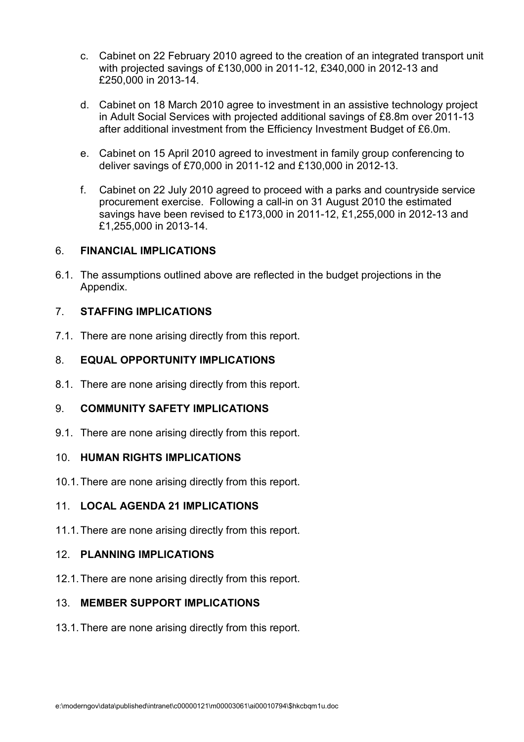- c. Cabinet on 22 February 2010 agreed to the creation of an integrated transport unit with projected savings of £130,000 in 2011-12, £340,000 in 2012-13 and £250,000 in 2013-14.
- d. Cabinet on 18 March 2010 agree to investment in an assistive technology project in Adult Social Services with projected additional savings of £8.8m over 2011-13 after additional investment from the Efficiency Investment Budget of £6.0m.
- e. Cabinet on 15 April 2010 agreed to investment in family group conferencing to deliver savings of £70,000 in 2011-12 and £130,000 in 2012-13.
- f. Cabinet on 22 July 2010 agreed to proceed with a parks and countryside service procurement exercise. Following a call-in on 31 August 2010 the estimated savings have been revised to £173,000 in 2011-12, £1,255,000 in 2012-13 and £1,255,000 in 2013-14.

# 6. FINANCIAL IMPLICATIONS

6.1. The assumptions outlined above are reflected in the budget projections in the Appendix.

# 7. STAFFING IMPLICATIONS

7.1. There are none arising directly from this report.

# 8. EQUAL OPPORTUNITY IMPLICATIONS

8.1. There are none arising directly from this report.

# 9. COMMUNITY SAFETY IMPLICATIONS

9.1. There are none arising directly from this report.

#### 10. HUMAN RIGHTS IMPLICATIONS

10.1. There are none arising directly from this report.

# 11. LOCAL AGENDA 21 IMPLICATIONS

11.1. There are none arising directly from this report.

#### 12. PLANNING IMPLICATIONS

12.1. There are none arising directly from this report.

#### 13. MEMBER SUPPORT IMPLICATIONS

13.1. There are none arising directly from this report.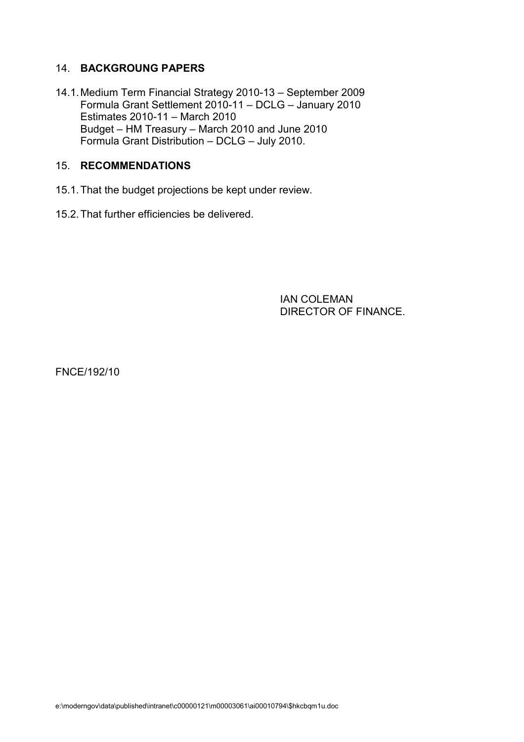# 14. BACKGROUNG PAPERS

14.1. Medium Term Financial Strategy 2010-13 – September 2009 Formula Grant Settlement 2010-11 – DCLG – January 2010 Estimates 2010-11 – March 2010 Budget – HM Treasury – March 2010 and June 2010 Formula Grant Distribution – DCLG – July 2010.

# 15. RECOMMENDATIONS

- 15.1. That the budget projections be kept under review.
- 15.2. That further efficiencies be delivered.

 IAN COLEMAN DIRECTOR OF FINANCE.

FNCE/192/10